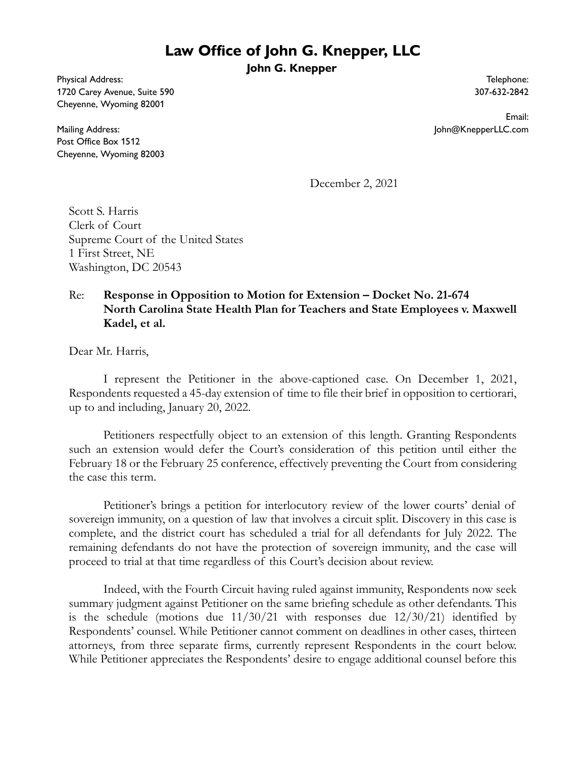## **Law Office of John G. Knepper, LLC**

**John G. Knepper**

Physical Address: 1720 Carey Avenue, Suite 590 Cheyenne, Wyoming 82001

Mailing Address: Post Office Box 1512 Cheyenne, Wyoming 82003

Telephone: 307-632-2842

Email: John@KnepperLLC.com

December 2, 2021

Scott S. Harris Clerk of Court Supreme Court of the United States 1 First Street, NE Washington, DC 20543

## Re: **Response in Opposition to Motion for Extension – Docket No. 21-674 North Carolina State Health Plan for Teachers and State Employees v. Maxwell Kadel, et al.**

Dear Mr. Harris,

I represent the Petitioner in the above-captioned case. On December 1, 2021, Respondents requested a 45-day extension of time to file their brief in opposition to certiorari, up to and including, January 20, 2022.

Petitioners respectfully object to an extension of this length. Granting Respondents such an extension would defer the Court's consideration of this petition until either the February 18 or the February 25 conference, effectively preventing the Court from considering the case this term.

Petitioner's brings a petition for interlocutory review of the lower courts' denial of sovereign immunity, on a question of law that involves a circuit split. Discovery in this case is complete, and the district court has scheduled a trial for all defendants for July 2022. The remaining defendants do not have the protection of sovereign immunity, and the case will proceed to trial at that time regardless of this Court's decision about review.

Indeed, with the Fourth Circuit having ruled against immunity, Respondents now seek summary judgment against Petitioner on the same briefing schedule as other defendants. This is the schedule (motions due  $11/30/21$  with responses due  $12/30/21$ ) identified by Respondents' counsel. While Petitioner cannot comment on deadlines in other cases, thirteen attorneys, from three separate firms, currently represent Respondents in the court below. While Petitioner appreciates the Respondents' desire to engage additional counsel before this